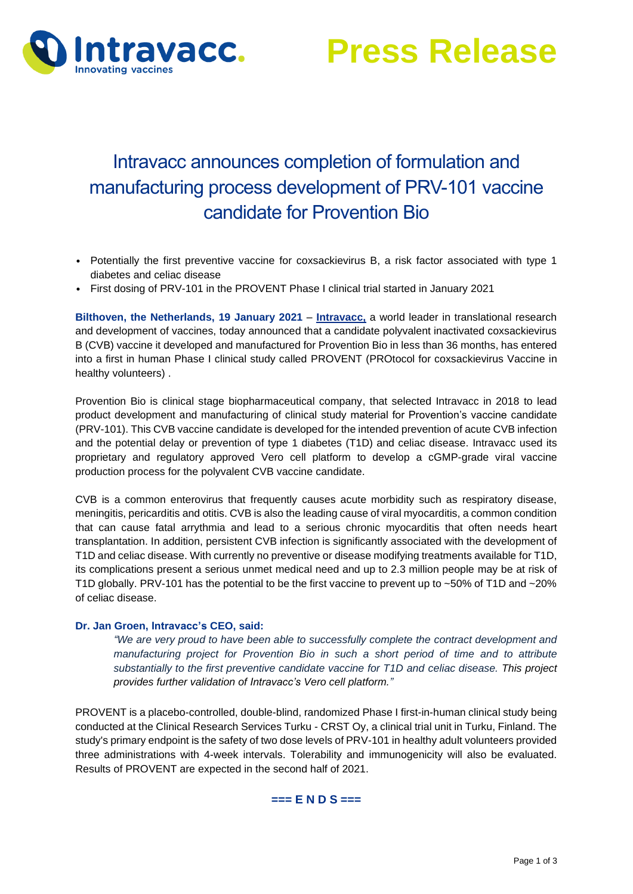

**Press Release**

# Intravacc announces completion of formulation and manufacturing process development of PRV-101 vaccine candidate for Provention Bio

- Potentially the first preventive vaccine for coxsackievirus B, a risk factor associated with type 1 diabetes and celiac disease
- First dosing of PRV-101 in the PROVENT Phase I clinical trial started in January 2021

**Bilthoven, the Netherlands, 19 January 2021** – **[Intravacc,](https://www.intravacc.nl/)** a world leader in translational research and development of vaccines, today announced that a candidate polyvalent inactivated coxsackievirus B (CVB) vaccine it developed and manufactured for Provention Bio in less than 36 months, has entered into a first in human Phase I clinical study called PROVENT (PROtocol for coxsackievirus Vaccine in healthy volunteers) .

Provention Bio is clinical stage biopharmaceutical company, that selected Intravacc in 2018 to lead product development and manufacturing of clinical study material for Provention's vaccine candidate (PRV-101). This CVB vaccine candidate is developed for the intended prevention of acute CVB infection and the potential delay or prevention of type 1 diabetes (T1D) and celiac disease. Intravacc used its proprietary and regulatory approved Vero cell platform to develop a cGMP-grade viral vaccine production process for the polyvalent CVB vaccine candidate.

CVB is a common enterovirus that frequently causes acute morbidity such as respiratory disease, meningitis, pericarditis and otitis. CVB is also the leading cause of viral myocarditis, a common condition that can cause fatal arrythmia and lead to a serious chronic myocarditis that often needs heart transplantation. In addition, persistent CVB infection is significantly associated with the development of T1D and celiac disease. With currently no preventive or disease modifying treatments available for T1D, its complications present a serious unmet medical need and up to 2.3 million people may be at risk of T1D globally. PRV-101 has the potential to be the first vaccine to prevent up to ~50% of T1D and ~20% of celiac disease.

#### **Dr. Jan Groen, Intravacc's CEO, said:**

*"We are very proud to have been able to successfully complete the contract development and manufacturing project for Provention Bio in such a short period of time and to attribute substantially to the first preventive candidate vaccine for T1D and celiac disease. This project provides further validation of Intravacc's Vero cell platform."* 

PROVENT is a placebo-controlled, double-blind, randomized Phase I first-in-human clinical study being conducted at the Clinical Research Services Turku - CRST Oy, a clinical trial unit in Turku, Finland. The study's primary endpoint is the safety of two dose levels of PRV-101 in healthy adult volunteers provided three administrations with 4-week intervals. Tolerability and immunogenicity will also be evaluated. Results of PROVENT are expected in the second half of 2021.

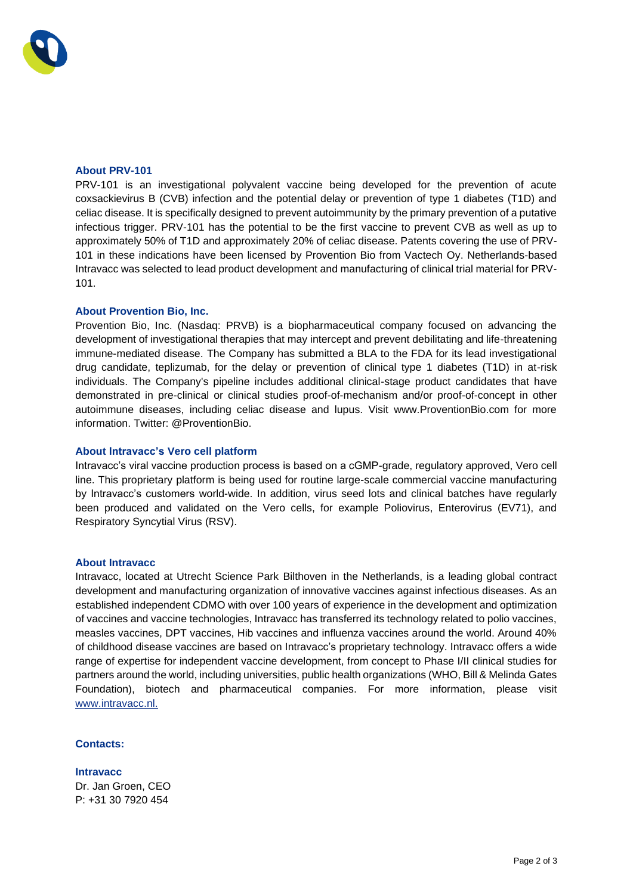## **About PRV-101**

PRV-101 is an investigational polyvalent vaccine being developed for the prevention of acute coxsackievirus B (CVB) infection and the potential delay or prevention of type 1 diabetes (T1D) and celiac disease. It is specifically designed to prevent autoimmunity by the primary prevention of a putative infectious trigger. PRV-101 has the potential to be the first vaccine to prevent CVB as well as up to approximately 50% of T1D and approximately 20% of celiac disease. Patents covering the use of PRV-101 in these indications have been licensed by Provention Bio from Vactech Oy. Netherlands-based Intravacc was selected to lead product development and manufacturing of clinical trial material for PRV-101.

## **About Provention Bio, Inc.**

Provention Bio, Inc. (Nasdaq: PRVB) is a biopharmaceutical company focused on advancing the development of investigational therapies that may intercept and prevent debilitating and life-threatening immune-mediated disease. The Company has submitted a BLA to the FDA for its lead investigational drug candidate, teplizumab, for the delay or prevention of clinical type 1 diabetes (T1D) in at-risk individuals. The Company's pipeline includes additional clinical-stage product candidates that have demonstrated in pre-clinical or clinical studies proof-of-mechanism and/or proof-of-concept in other autoimmune diseases, including celiac disease and lupus. Visit www.ProventionBio.com for more information. Twitter: @ProventionBio.

#### **About Intravacc's Vero cell platform**

Intravacc's viral vaccine production process is based on a cGMP-grade, regulatory approved, Vero cell line. This proprietary platform is being used for routine large-scale commercial vaccine manufacturing by Intravacc's customers world-wide. In addition, virus seed lots and clinical batches have regularly been produced and validated on the Vero cells, for example Poliovirus, Enterovirus (EV71), and Respiratory Syncytial Virus (RSV).

#### **About Intravacc**

Intravacc, located at Utrecht Science Park Bilthoven in the Netherlands, is a leading global contract development and manufacturing organization of innovative vaccines against infectious diseases. As an established independent CDMO with over 100 years of experience in the development and optimization of vaccines and vaccine technologies, Intravacc has transferred its technology related to polio vaccines, measles vaccines, DPT vaccines, Hib vaccines and influenza vaccines around the world. Around 40% of childhood disease vaccines are based on Intravacc's proprietary technology. Intravacc offers a wide range of expertise for independent vaccine development, from concept to Phase I/II clinical studies for partners around the world, including universities, public health organizations (WHO, Bill & Melinda Gates Foundation), biotech and pharmaceutical companies. For more information, please visit [www.intravacc.nl.](http://www.intravacc.nl/)

# **Contacts:**

**Intravacc** Dr. Jan Groen, CEO P: +31 30 7920 454